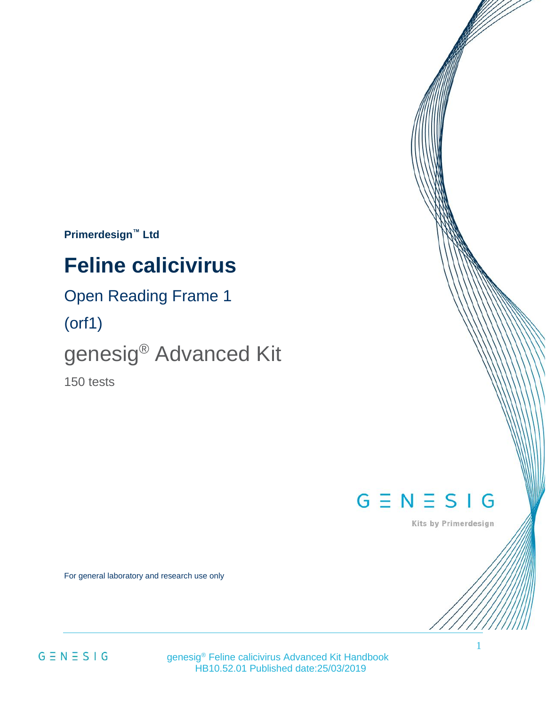**Primerdesign™ Ltd**

# **Feline calicivirus**

### Open Reading Frame 1

(orf1)

# genesig® Advanced Kit

150 tests

# $G \equiv N \equiv S \mid G$

Kits by Primerdesign

For general laboratory and research use only

 $G \equiv N \equiv S \mid G$ 

 genesig® Feline calicivirus Advanced Kit Handbook HB10.52.01 Published date:25/03/2019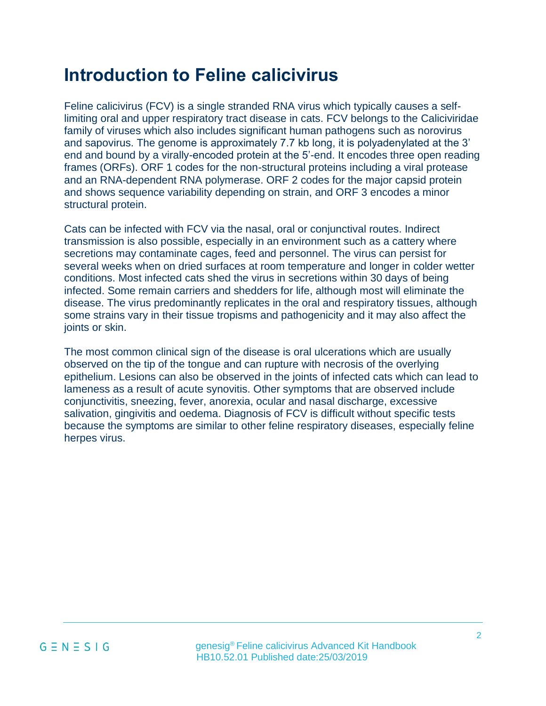# **Introduction to Feline calicivirus**

Feline calicivirus (FCV) is a single stranded RNA virus which typically causes a selflimiting oral and upper respiratory tract disease in cats. FCV belongs to the Caliciviridae family of viruses which also includes significant human pathogens such as norovirus and sapovirus. The genome is approximately 7.7 kb long, it is polyadenylated at the 3' end and bound by a virally-encoded protein at the 5'-end. It encodes three open reading frames (ORFs). ORF 1 codes for the non-structural proteins including a viral protease and an RNA-dependent RNA polymerase. ORF 2 codes for the major capsid protein and shows sequence variability depending on strain, and ORF 3 encodes a minor structural protein.

Cats can be infected with FCV via the nasal, oral or conjunctival routes. Indirect transmission is also possible, especially in an environment such as a cattery where secretions may contaminate cages, feed and personnel. The virus can persist for several weeks when on dried surfaces at room temperature and longer in colder wetter conditions. Most infected cats shed the virus in secretions within 30 days of being infected. Some remain carriers and shedders for life, although most will eliminate the disease. The virus predominantly replicates in the oral and respiratory tissues, although some strains vary in their tissue tropisms and pathogenicity and it may also affect the joints or skin.

The most common clinical sign of the disease is oral ulcerations which are usually observed on the tip of the tongue and can rupture with necrosis of the overlying epithelium. Lesions can also be observed in the joints of infected cats which can lead to lameness as a result of acute synovitis. Other symptoms that are observed include conjunctivitis, sneezing, fever, anorexia, ocular and nasal discharge, excessive salivation, gingivitis and oedema. Diagnosis of FCV is difficult without specific tests because the symptoms are similar to other feline respiratory diseases, especially feline herpes virus.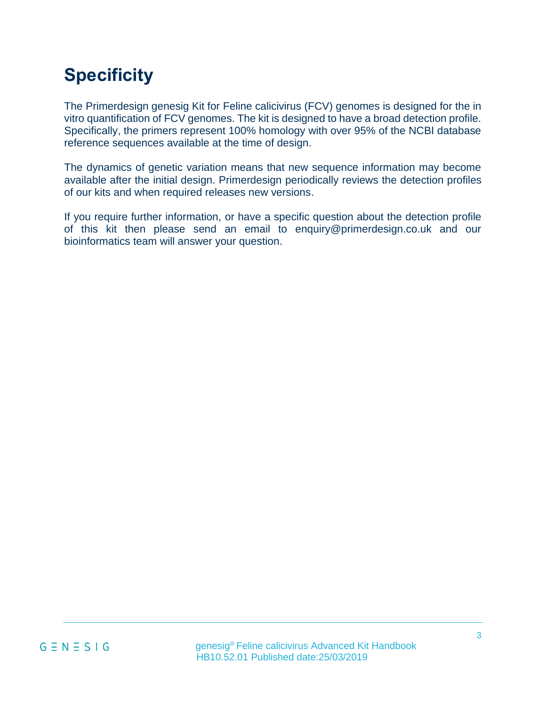# **Specificity**

The Primerdesign genesig Kit for Feline calicivirus (FCV) genomes is designed for the in vitro quantification of FCV genomes. The kit is designed to have a broad detection profile. Specifically, the primers represent 100% homology with over 95% of the NCBI database reference sequences available at the time of design.

The dynamics of genetic variation means that new sequence information may become available after the initial design. Primerdesign periodically reviews the detection profiles of our kits and when required releases new versions.

If you require further information, or have a specific question about the detection profile of this kit then please send an email to enquiry@primerdesign.co.uk and our bioinformatics team will answer your question.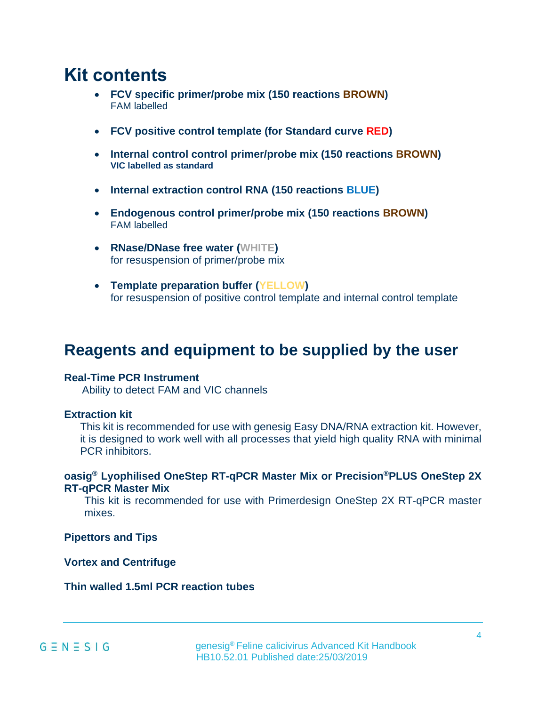### **Kit contents**

- **FCV specific primer/probe mix (150 reactions BROWN)** FAM labelled
- **FCV positive control template (for Standard curve RED)**
- **Internal control control primer/probe mix (150 reactions BROWN) VIC labelled as standard**
- **Internal extraction control RNA (150 reactions BLUE)**
- **Endogenous control primer/probe mix (150 reactions BROWN)** FAM labelled
- **RNase/DNase free water (WHITE)** for resuspension of primer/probe mix
- **Template preparation buffer (YELLOW)** for resuspension of positive control template and internal control template

### **Reagents and equipment to be supplied by the user**

#### **Real-Time PCR Instrument**

Ability to detect FAM and VIC channels

#### **Extraction kit**

This kit is recommended for use with genesig Easy DNA/RNA extraction kit. However, it is designed to work well with all processes that yield high quality RNA with minimal PCR inhibitors.

#### **oasig® Lyophilised OneStep RT-qPCR Master Mix or Precision®PLUS OneStep 2X RT-qPCR Master Mix**

This kit is recommended for use with Primerdesign OneStep 2X RT-qPCR master mixes.

**Pipettors and Tips**

**Vortex and Centrifuge**

**Thin walled 1.5ml PCR reaction tubes**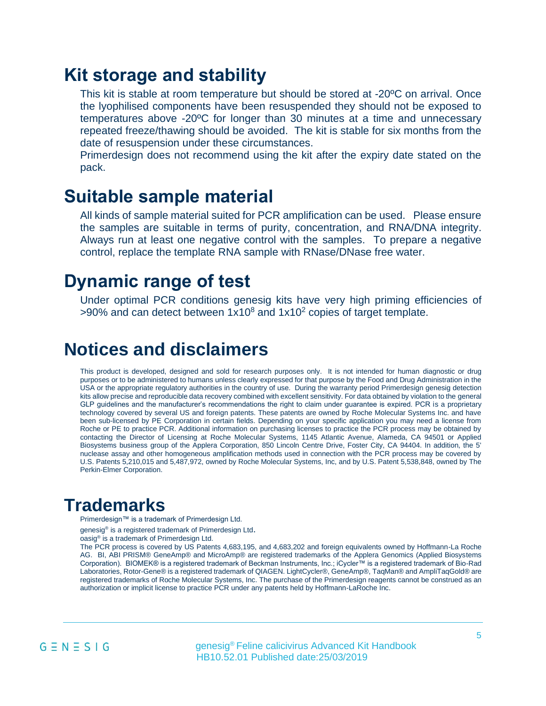### **Kit storage and stability**

This kit is stable at room temperature but should be stored at -20ºC on arrival. Once the lyophilised components have been resuspended they should not be exposed to temperatures above -20ºC for longer than 30 minutes at a time and unnecessary repeated freeze/thawing should be avoided. The kit is stable for six months from the date of resuspension under these circumstances.

Primerdesign does not recommend using the kit after the expiry date stated on the pack.

### **Suitable sample material**

All kinds of sample material suited for PCR amplification can be used. Please ensure the samples are suitable in terms of purity, concentration, and RNA/DNA integrity. Always run at least one negative control with the samples. To prepare a negative control, replace the template RNA sample with RNase/DNase free water.

### **Dynamic range of test**

Under optimal PCR conditions genesig kits have very high priming efficiencies of  $>90\%$  and can detect between  $1x10^8$  and  $1x10^2$  copies of target template.

### **Notices and disclaimers**

This product is developed, designed and sold for research purposes only. It is not intended for human diagnostic or drug purposes or to be administered to humans unless clearly expressed for that purpose by the Food and Drug Administration in the USA or the appropriate regulatory authorities in the country of use. During the warranty period Primerdesign genesig detection kits allow precise and reproducible data recovery combined with excellent sensitivity. For data obtained by violation to the general GLP guidelines and the manufacturer's recommendations the right to claim under guarantee is expired. PCR is a proprietary technology covered by several US and foreign patents. These patents are owned by Roche Molecular Systems Inc. and have been sub-licensed by PE Corporation in certain fields. Depending on your specific application you may need a license from Roche or PE to practice PCR. Additional information on purchasing licenses to practice the PCR process may be obtained by contacting the Director of Licensing at Roche Molecular Systems, 1145 Atlantic Avenue, Alameda, CA 94501 or Applied Biosystems business group of the Applera Corporation, 850 Lincoln Centre Drive, Foster City, CA 94404. In addition, the 5' nuclease assay and other homogeneous amplification methods used in connection with the PCR process may be covered by U.S. Patents 5,210,015 and 5,487,972, owned by Roche Molecular Systems, Inc, and by U.S. Patent 5,538,848, owned by The Perkin-Elmer Corporation.

### **Trademarks**

Primerdesign™ is a trademark of Primerdesign Ltd.

genesig<sup>®</sup> is a registered trademark of Primerdesign Ltd.

oasig® is a trademark of Primerdesign Ltd.

The PCR process is covered by US Patents 4,683,195, and 4,683,202 and foreign equivalents owned by Hoffmann-La Roche AG. BI, ABI PRISM® GeneAmp® and MicroAmp® are registered trademarks of the Applera Genomics (Applied Biosystems Corporation). BIOMEK® is a registered trademark of Beckman Instruments, Inc.; iCycler™ is a registered trademark of Bio-Rad Laboratories, Rotor-Gene® is a registered trademark of QIAGEN. LightCycler®, GeneAmp®, TaqMan® and AmpliTaqGold® are registered trademarks of Roche Molecular Systems, Inc. The purchase of the Primerdesign reagents cannot be construed as an authorization or implicit license to practice PCR under any patents held by Hoffmann-LaRoche Inc.

 genesig® Feline calicivirus Advanced Kit Handbook HB10.52.01 Published date:25/03/2019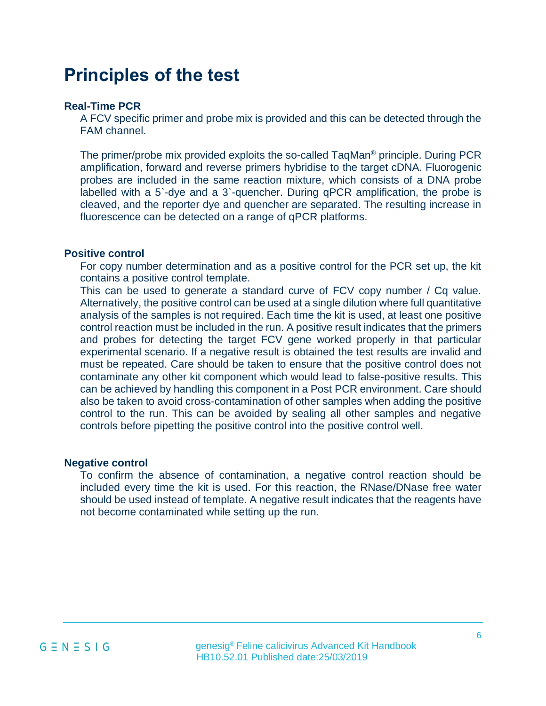## **Principles of the test**

#### **Real-Time PCR**

A FCV specific primer and probe mix is provided and this can be detected through the FAM channel.

The primer/probe mix provided exploits the so-called TaqMan® principle. During PCR amplification, forward and reverse primers hybridise to the target cDNA. Fluorogenic probes are included in the same reaction mixture, which consists of a DNA probe labelled with a 5`-dye and a 3`-quencher. During qPCR amplification, the probe is cleaved, and the reporter dye and quencher are separated. The resulting increase in fluorescence can be detected on a range of qPCR platforms.

#### **Positive control**

For copy number determination and as a positive control for the PCR set up, the kit contains a positive control template.

This can be used to generate a standard curve of FCV copy number / Cq value. Alternatively, the positive control can be used at a single dilution where full quantitative analysis of the samples is not required. Each time the kit is used, at least one positive control reaction must be included in the run. A positive result indicates that the primers and probes for detecting the target FCV gene worked properly in that particular experimental scenario. If a negative result is obtained the test results are invalid and must be repeated. Care should be taken to ensure that the positive control does not contaminate any other kit component which would lead to false-positive results. This can be achieved by handling this component in a Post PCR environment. Care should also be taken to avoid cross-contamination of other samples when adding the positive control to the run. This can be avoided by sealing all other samples and negative controls before pipetting the positive control into the positive control well.

#### **Negative control**

To confirm the absence of contamination, a negative control reaction should be included every time the kit is used. For this reaction, the RNase/DNase free water should be used instead of template. A negative result indicates that the reagents have not become contaminated while setting up the run.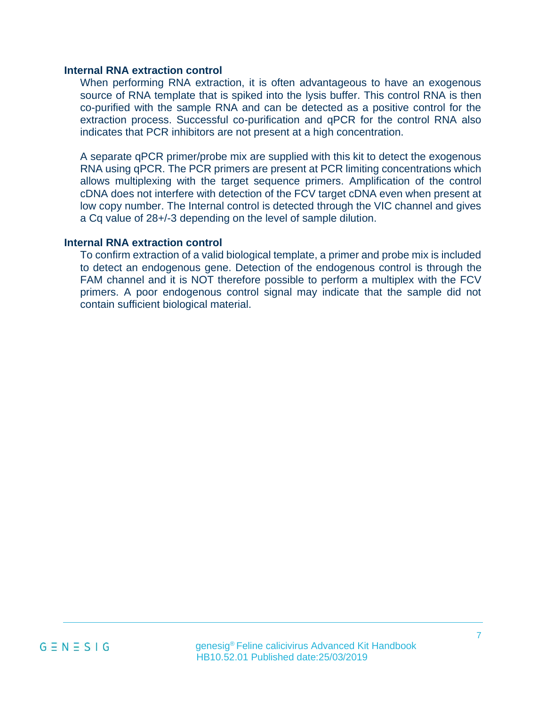#### **Internal RNA extraction control**

When performing RNA extraction, it is often advantageous to have an exogenous source of RNA template that is spiked into the lysis buffer. This control RNA is then co-purified with the sample RNA and can be detected as a positive control for the extraction process. Successful co-purification and qPCR for the control RNA also indicates that PCR inhibitors are not present at a high concentration.

A separate qPCR primer/probe mix are supplied with this kit to detect the exogenous RNA using qPCR. The PCR primers are present at PCR limiting concentrations which allows multiplexing with the target sequence primers. Amplification of the control cDNA does not interfere with detection of the FCV target cDNA even when present at low copy number. The Internal control is detected through the VIC channel and gives a Cq value of 28+/-3 depending on the level of sample dilution.

#### **Internal RNA extraction control**

To confirm extraction of a valid biological template, a primer and probe mix is included to detect an endogenous gene. Detection of the endogenous control is through the FAM channel and it is NOT therefore possible to perform a multiplex with the FCV primers. A poor endogenous control signal may indicate that the sample did not contain sufficient biological material.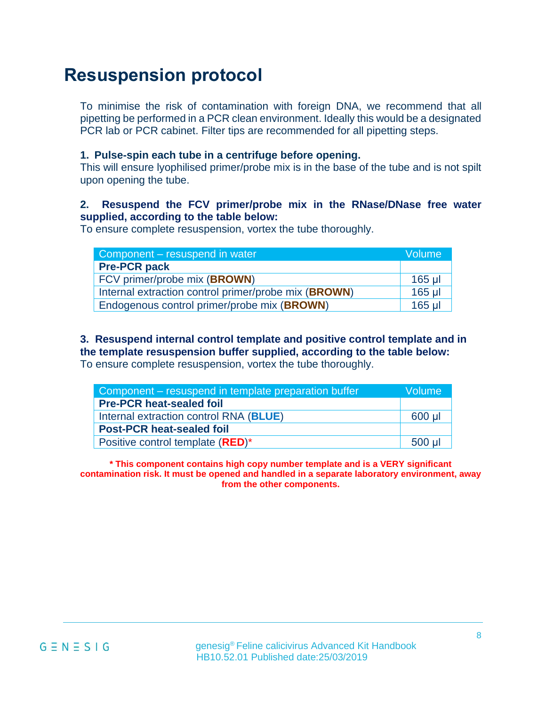# **Resuspension protocol**

To minimise the risk of contamination with foreign DNA, we recommend that all pipetting be performed in a PCR clean environment. Ideally this would be a designated PCR lab or PCR cabinet. Filter tips are recommended for all pipetting steps.

#### **1. Pulse-spin each tube in a centrifuge before opening.**

This will ensure lyophilised primer/probe mix is in the base of the tube and is not spilt upon opening the tube.

#### **2. Resuspend the FCV primer/probe mix in the RNase/DNase free water supplied, according to the table below:**

To ensure complete resuspension, vortex the tube thoroughly.

| Component – resuspend in water                       | Volume   |
|------------------------------------------------------|----------|
| <b>Pre-PCR pack</b>                                  |          |
| FCV primer/probe mix (BROWN)                         | $165$ µl |
| Internal extraction control primer/probe mix (BROWN) | 165 µl   |
| Endogenous control primer/probe mix (BROWN)          | 165 ul   |

**3. Resuspend internal control template and positive control template and in the template resuspension buffer supplied, according to the table below:**  To ensure complete resuspension, vortex the tube thoroughly.

| Component – resuspend in template preparation buffer |        |  |
|------------------------------------------------------|--------|--|
| <b>Pre-PCR heat-sealed foil</b>                      |        |  |
| Internal extraction control RNA (BLUE)               | 600 µl |  |
| <b>Post-PCR heat-sealed foil</b>                     |        |  |
| Positive control template (RED)*                     | 500 ul |  |

**\* This component contains high copy number template and is a VERY significant contamination risk. It must be opened and handled in a separate laboratory environment, away from the other components.**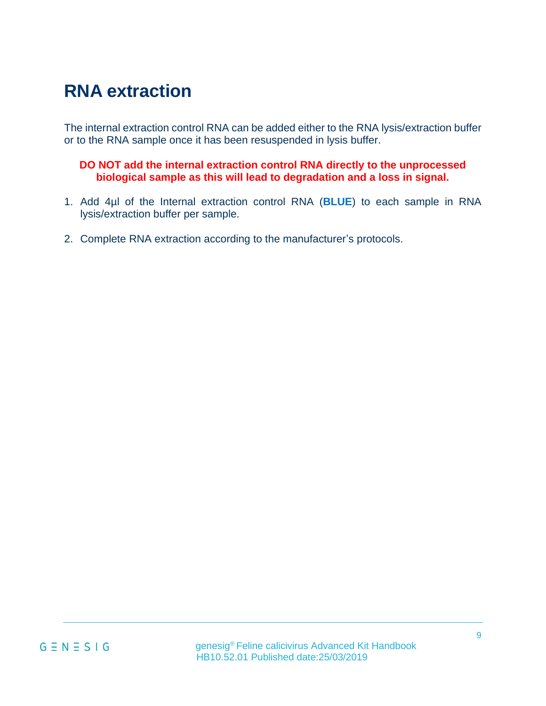# **RNA extraction**

The internal extraction control RNA can be added either to the RNA lysis/extraction buffer or to the RNA sample once it has been resuspended in lysis buffer.

#### **DO NOT add the internal extraction control RNA directly to the unprocessed biological sample as this will lead to degradation and a loss in signal.**

- 1. Add 4µl of the Internal extraction control RNA (**BLUE**) to each sample in RNA lysis/extraction buffer per sample.
- 2. Complete RNA extraction according to the manufacturer's protocols.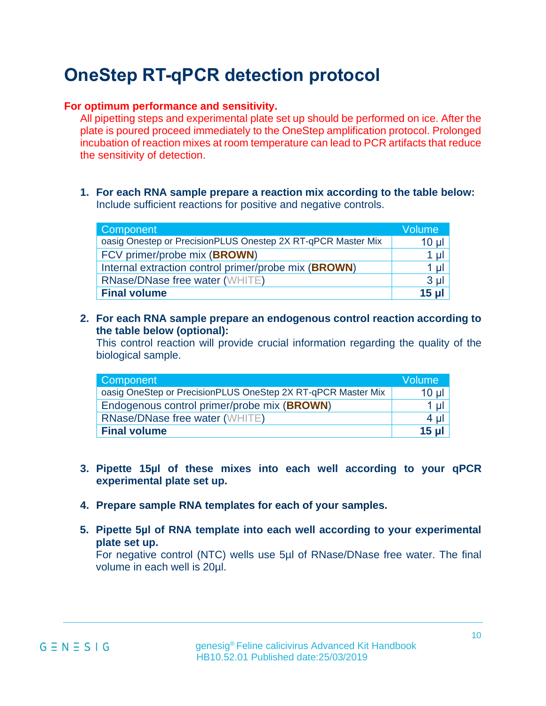# **OneStep RT-qPCR detection protocol**

#### **For optimum performance and sensitivity.**

All pipetting steps and experimental plate set up should be performed on ice. After the plate is poured proceed immediately to the OneStep amplification protocol. Prolonged incubation of reaction mixes at room temperature can lead to PCR artifacts that reduce the sensitivity of detection.

**1. For each RNA sample prepare a reaction mix according to the table below:**  Include sufficient reactions for positive and negative controls.

| Component                                                    | Volume           |
|--------------------------------------------------------------|------------------|
| oasig Onestep or PrecisionPLUS Onestep 2X RT-qPCR Master Mix | 10 <sub>µ</sub>  |
| FCV primer/probe mix (BROWN)                                 | $1 \mu$          |
| Internal extraction control primer/probe mix (BROWN)         | $1 \mu$          |
| <b>RNase/DNase free water (WHITE)</b>                        | 3 <sub>µ</sub>   |
| <b>Final volume</b>                                          | 15 <sub>ul</sub> |

**2. For each RNA sample prepare an endogenous control reaction according to the table below (optional):**

This control reaction will provide crucial information regarding the quality of the biological sample.

| <b>Component</b>                                             | Volume   |
|--------------------------------------------------------------|----------|
| oasig OneStep or PrecisionPLUS OneStep 2X RT-qPCR Master Mix | $10 \mu$ |
| Endogenous control primer/probe mix (BROWN)                  | $1 \mu$  |
| <b>RNase/DNase free water (WHITE)</b>                        | $4 \mu$  |
| <b>Final volume</b>                                          | $15$ ul  |

- **3. Pipette 15µl of these mixes into each well according to your qPCR experimental plate set up.**
- **4. Prepare sample RNA templates for each of your samples.**
- **5. Pipette 5µl of RNA template into each well according to your experimental plate set up.**

For negative control (NTC) wells use 5µl of RNase/DNase free water. The final volume in each well is 20µl.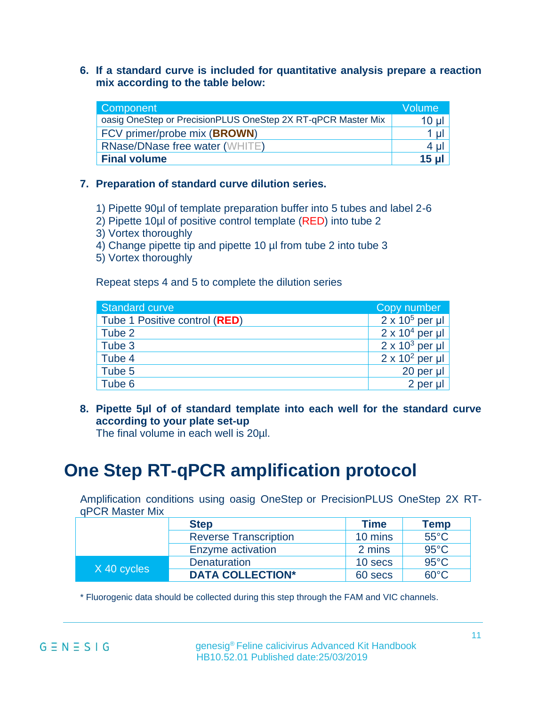**6. If a standard curve is included for quantitative analysis prepare a reaction mix according to the table below:**

| Component                                                    | <b>Volume</b>    |
|--------------------------------------------------------------|------------------|
| oasig OneStep or PrecisionPLUS OneStep 2X RT-qPCR Master Mix | $10 \mu$         |
| FCV primer/probe mix (BROWN)                                 | $1 \mu$          |
| <b>RNase/DNase free water (WHITE)</b>                        | $4 \mu$          |
| <b>Final volume</b>                                          | 15 <sub>ul</sub> |

#### **7. Preparation of standard curve dilution series.**

1) Pipette 90µl of template preparation buffer into 5 tubes and label 2-6

- 2) Pipette 10µl of positive control template (RED) into tube 2
- 3) Vortex thoroughly
- 4) Change pipette tip and pipette 10 µl from tube 2 into tube 3
- 5) Vortex thoroughly

Repeat steps 4 and 5 to complete the dilution series

| <b>Standard curve</b>                  | Copy number            |
|----------------------------------------|------------------------|
| Tube 1 Positive control ( <b>RED</b> ) | $2 \times 10^5$ per µl |
| Tube 2                                 | $2 \times 10^4$ per µl |
| Tube 3                                 | $2 \times 10^3$ per µl |
| Tube 4                                 | $2 \times 10^2$ per µl |
| Tube 5                                 | 20 per µl              |
| Tube 6                                 | 2 per ul               |

**8. Pipette 5µl of of standard template into each well for the standard curve according to your plate set-up**

The final volume in each well is 20µl.

# **One Step RT-qPCR amplification protocol**

Amplification conditions using oasig OneStep or PrecisionPLUS OneStep 2X RTqPCR Master Mix

|             | <b>Step</b>                  | <b>Time</b> | Temp           |
|-------------|------------------------------|-------------|----------------|
|             | <b>Reverse Transcription</b> | 10 mins     | $55^{\circ}$ C |
|             | Enzyme activation            | 2 mins      | $95^{\circ}$ C |
| X 40 cycles | <b>Denaturation</b>          | 10 secs     | $95^{\circ}$ C |
|             | <b>DATA COLLECTION*</b>      | 60 secs     | $60^{\circ}$ C |

\* Fluorogenic data should be collected during this step through the FAM and VIC channels.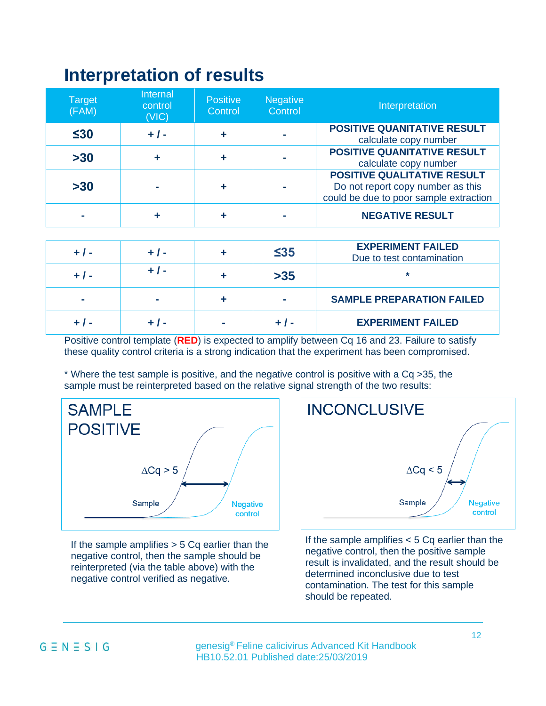## **Interpretation of results**

| <b>Target</b><br>(FAM) | Internal<br>control<br>(VIC) | <b>Positive</b><br>Control | <b>Negative</b><br>Control | Interpretation                                                                                                    |
|------------------------|------------------------------|----------------------------|----------------------------|-------------------------------------------------------------------------------------------------------------------|
| $\leq 30$              | $+ 1 -$                      | ╋                          |                            | <b>POSITIVE QUANITATIVE RESULT</b><br>calculate copy number                                                       |
| $>30$                  | ╋                            |                            |                            | <b>POSITIVE QUANITATIVE RESULT</b><br>calculate copy number                                                       |
| $>30$                  |                              |                            |                            | <b>POSITIVE QUALITATIVE RESULT</b><br>Do not report copy number as this<br>could be due to poor sample extraction |
|                        |                              |                            |                            | <b>NEGATIVE RESULT</b>                                                                                            |

| $+ 1 -$        | $+$ / - |   | $\leq$ 35 | <b>EXPERIMENT FAILED</b><br>Due to test contamination |
|----------------|---------|---|-----------|-------------------------------------------------------|
| $+$ $\prime$ - |         |   | $>35$     | $\ast$                                                |
|                | $\sim$  |   |           | <b>SAMPLE PREPARATION FAILED</b>                      |
|                |         | - |           | <b>EXPERIMENT FAILED</b>                              |

Positive control template (**RED**) is expected to amplify between Cq 16 and 23. Failure to satisfy these quality control criteria is a strong indication that the experiment has been compromised.

\* Where the test sample is positive, and the negative control is positive with a Cq >35, the sample must be reinterpreted based on the relative signal strength of the two results:



If the sample amplifies  $> 5$  Cq earlier than the negative control, then the sample should be reinterpreted (via the table above) with the negative control verified as negative.



If the sample amplifies  $< 5$  Cq earlier than the negative control, then the positive sample result is invalidated, and the result should be determined inconclusive due to test contamination. The test for this sample should be repeated.

#### $G \equiv N \equiv S \mid G$

 genesig® Feline calicivirus Advanced Kit Handbook HB10.52.01 Published date:25/03/2019